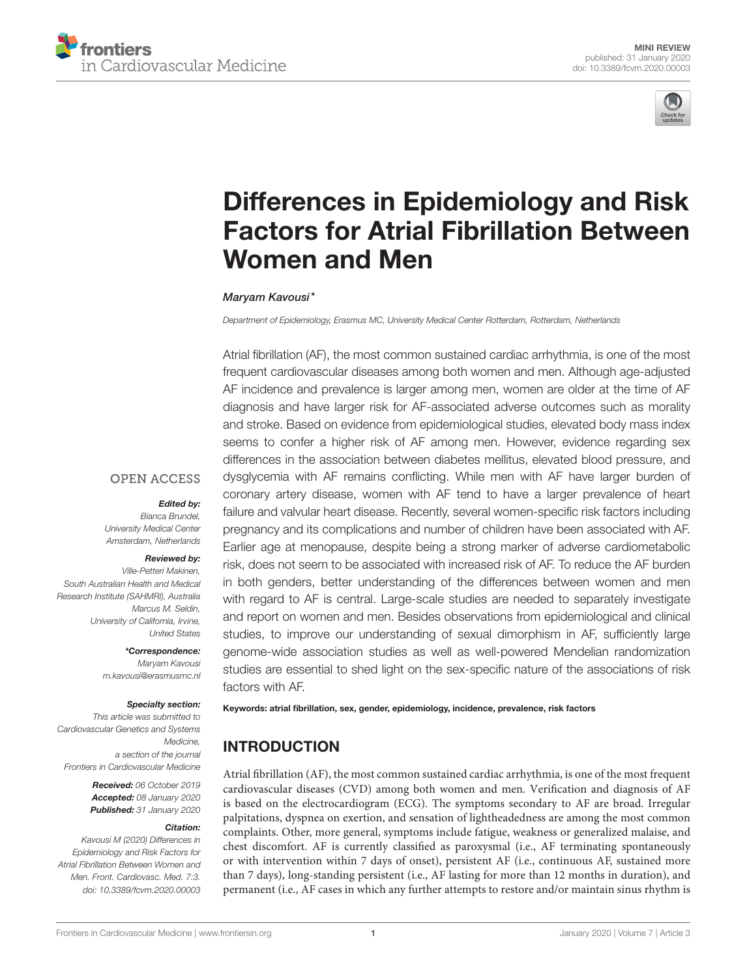



# Differences in Epidemiology and Risk [Factors for Atrial Fibrillation Between](https://www.frontiersin.org/articles/10.3389/fcvm.2020.00003/full) Women and Men

#### [Maryam Kavousi\\*](http://loop.frontiersin.org/people/615911/overview)

*Department of Epidemiology, Erasmus MC, University Medical Center Rotterdam, Rotterdam, Netherlands*

Atrial fibrillation (AF), the most common sustained cardiac arrhythmia, is one of the most frequent cardiovascular diseases among both women and men. Although age-adjusted AF incidence and prevalence is larger among men, women are older at the time of AF diagnosis and have larger risk for AF-associated adverse outcomes such as morality and stroke. Based on evidence from epidemiological studies, elevated body mass index seems to confer a higher risk of AF among men. However, evidence regarding sex differences in the association between diabetes mellitus, elevated blood pressure, and dysglycemia with AF remains conflicting. While men with AF have larger burden of coronary artery disease, women with AF tend to have a larger prevalence of heart failure and valvular heart disease. Recently, several women-specific risk factors including pregnancy and its complications and number of children have been associated with AF. Earlier age at menopause, despite being a strong marker of adverse cardiometabolic risk, does not seem to be associated with increased risk of AF. To reduce the AF burden in both genders, better understanding of the differences between women and men with regard to AF is central. Large-scale studies are needed to separately investigate and report on women and men. Besides observations from epidemiological and clinical studies, to improve our understanding of sexual dimorphism in AF, sufficiently large genome-wide association studies as well as well-powered Mendelian randomization studies are essential to shed light on the sex-specific nature of the associations of risk factors with AF.

#### **OPEN ACCESS**

#### Edited by:

*Bianca Brundel, University Medical Center Amsterdam, Netherlands*

#### Reviewed by:

*Ville-Petteri Makinen, South Australian Health and Medical Research Institute (SAHMRI), Australia Marcus M. Seldin, University of California, Irvine, United States*

\*Correspondence:

*Maryam Kavousi [m.kavousi@erasmusmc.nl](mailto:m.kavousi@erasmusmc.nl)*

#### Specialty section:

*This article was submitted to Cardiovascular Genetics and Systems Medicine, a section of the journal Frontiers in Cardiovascular Medicine*

> Received: *06 October 2019* Accepted: *08 January 2020* Published: *31 January 2020*

#### Citation:

*Kavousi M (2020) Differences in Epidemiology and Risk Factors for Atrial Fibrillation Between Women and Men. Front. Cardiovasc. Med. 7:3. doi: [10.3389/fcvm.2020.00003](https://doi.org/10.3389/fcvm.2020.00003)* Keywords: atrial fibrillation, sex, gender, epidemiology, incidence, prevalence, risk factors

# INTRODUCTION

Atrial fibrillation (AF), the most common sustained cardiac arrhythmia, is one of the most frequent cardiovascular diseases (CVD) among both women and men. Verification and diagnosis of AF is based on the electrocardiogram (ECG). The symptoms secondary to AF are broad. Irregular palpitations, dyspnea on exertion, and sensation of lightheadedness are among the most common complaints. Other, more general, symptoms include fatigue, weakness or generalized malaise, and chest discomfort. AF is currently classified as paroxysmal (i.e., AF terminating spontaneously or with intervention within 7 days of onset), persistent AF (i.e., continuous AF, sustained more than 7 days), long-standing persistent (i.e., AF lasting for more than 12 months in duration), and permanent (i.e., AF cases in which any further attempts to restore and/or maintain sinus rhythm is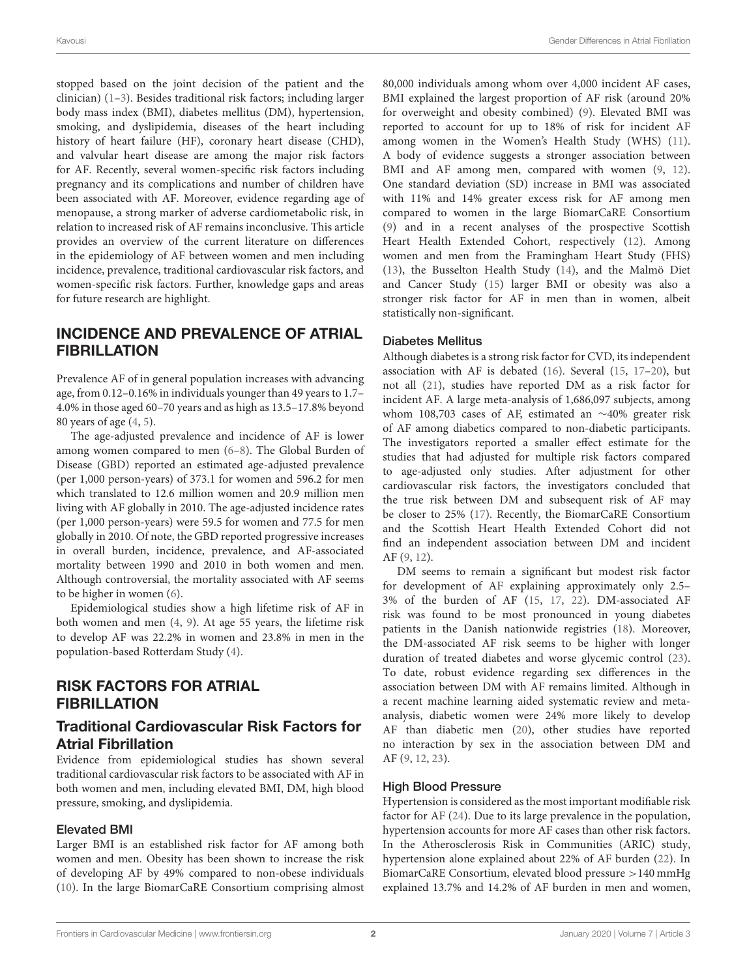stopped based on the joint decision of the patient and the clinician) [\(1](#page-4-0)[–3\)](#page-4-1). Besides traditional risk factors; including larger body mass index (BMI), diabetes mellitus (DM), hypertension, smoking, and dyslipidemia, diseases of the heart including history of heart failure (HF), coronary heart disease (CHD), and valvular heart disease are among the major risk factors for AF. Recently, several women-specific risk factors including pregnancy and its complications and number of children have been associated with AF. Moreover, evidence regarding age of menopause, a strong marker of adverse cardiometabolic risk, in relation to increased risk of AF remains inconclusive. This article provides an overview of the current literature on differences in the epidemiology of AF between women and men including incidence, prevalence, traditional cardiovascular risk factors, and women-specific risk factors. Further, knowledge gaps and areas for future research are highlight.

# INCIDENCE AND PREVALENCE OF ATRIAL FIBRILLATION

Prevalence AF of in general population increases with advancing age, from 0.12–0.16% in individuals younger than 49 years to 1.7– 4.0% in those aged 60–70 years and as high as 13.5–17.8% beyond 80 years of age [\(4,](#page-4-2) [5\)](#page-4-3).

The age-adjusted prevalence and incidence of AF is lower among women compared to men [\(6](#page-4-4)[–8\)](#page-4-5). The Global Burden of Disease (GBD) reported an estimated age-adjusted prevalence (per 1,000 person-years) of 373.1 for women and 596.2 for men which translated to 12.6 million women and 20.9 million men living with AF globally in 2010. The age-adjusted incidence rates (per 1,000 person-years) were 59.5 for women and 77.5 for men globally in 2010. Of note, the GBD reported progressive increases in overall burden, incidence, prevalence, and AF-associated mortality between 1990 and 2010 in both women and men. Although controversial, the mortality associated with AF seems to be higher in women [\(6\)](#page-4-4).

Epidemiological studies show a high lifetime risk of AF in both women and men [\(4,](#page-4-2) [9\)](#page-4-6). At age 55 years, the lifetime risk to develop AF was 22.2% in women and 23.8% in men in the population-based Rotterdam Study [\(4\)](#page-4-2).

# RISK FACTORS FOR ATRIAL **FIBRILLATION**

### Traditional Cardiovascular Risk Factors for Atrial Fibrillation

Evidence from epidemiological studies has shown several traditional cardiovascular risk factors to be associated with AF in both women and men, including elevated BMI, DM, high blood pressure, smoking, and dyslipidemia.

#### Elevated BMI

Larger BMI is an established risk factor for AF among both women and men. Obesity has been shown to increase the risk of developing AF by 49% compared to non-obese individuals [\(10\)](#page-4-7). In the large BiomarCaRE Consortium comprising almost 80,000 individuals among whom over 4,000 incident AF cases, BMI explained the largest proportion of AF risk (around 20% for overweight and obesity combined) [\(9\)](#page-4-6). Elevated BMI was reported to account for up to 18% of risk for incident AF among women in the Women's Health Study (WHS) [\(11\)](#page-4-8). A body of evidence suggests a stronger association between BMI and AF among men, compared with women [\(9,](#page-4-6) [12\)](#page-4-9). One standard deviation (SD) increase in BMI was associated with 11% and 14% greater excess risk for AF among men compared to women in the large BiomarCaRE Consortium [\(9\)](#page-4-6) and in a recent analyses of the prospective Scottish Heart Health Extended Cohort, respectively [\(12\)](#page-4-9). Among women and men from the Framingham Heart Study (FHS) [\(13\)](#page-4-10), the Busselton Health Study [\(14\)](#page-4-11), and the Malmö Diet and Cancer Study [\(15\)](#page-4-12) larger BMI or obesity was also a stronger risk factor for AF in men than in women, albeit statistically non-significant.

#### Diabetes Mellitus

Although diabetes is a strong risk factor for CVD, its independent association with AF is debated [\(16\)](#page-4-13). Several [\(15,](#page-4-12) [17–](#page-4-14)[20\)](#page-4-15), but not all [\(21\)](#page-4-16), studies have reported DM as a risk factor for incident AF. A large meta-analysis of 1,686,097 subjects, among whom 108,703 cases of AF, estimated an ∼40% greater risk of AF among diabetics compared to non-diabetic participants. The investigators reported a smaller effect estimate for the studies that had adjusted for multiple risk factors compared to age-adjusted only studies. After adjustment for other cardiovascular risk factors, the investigators concluded that the true risk between DM and subsequent risk of AF may be closer to 25% [\(17\)](#page-4-14). Recently, the BiomarCaRE Consortium and the Scottish Heart Health Extended Cohort did not find an independent association between DM and incident AF [\(9,](#page-4-6) [12\)](#page-4-9).

DM seems to remain a significant but modest risk factor for development of AF explaining approximately only 2.5– 3% of the burden of AF [\(15,](#page-4-12) [17,](#page-4-14) [22\)](#page-4-17). DM-associated AF risk was found to be most pronounced in young diabetes patients in the Danish nationwide registries [\(18\)](#page-4-18). Moreover, the DM-associated AF risk seems to be higher with longer duration of treated diabetes and worse glycemic control [\(23\)](#page-4-19). To date, robust evidence regarding sex differences in the association between DM with AF remains limited. Although in a recent machine learning aided systematic review and metaanalysis, diabetic women were 24% more likely to develop AF than diabetic men [\(20\)](#page-4-15), other studies have reported no interaction by sex in the association between DM and AF [\(9,](#page-4-6) [12,](#page-4-9) [23\)](#page-4-19).

#### High Blood Pressure

Hypertension is considered as the most important modifiable risk factor for AF [\(24\)](#page-4-20). Due to its large prevalence in the population, hypertension accounts for more AF cases than other risk factors. In the Atherosclerosis Risk in Communities (ARIC) study, hypertension alone explained about 22% of AF burden [\(22\)](#page-4-17). In BiomarCaRE Consortium, elevated blood pressure >140 mmHg explained 13.7% and 14.2% of AF burden in men and women,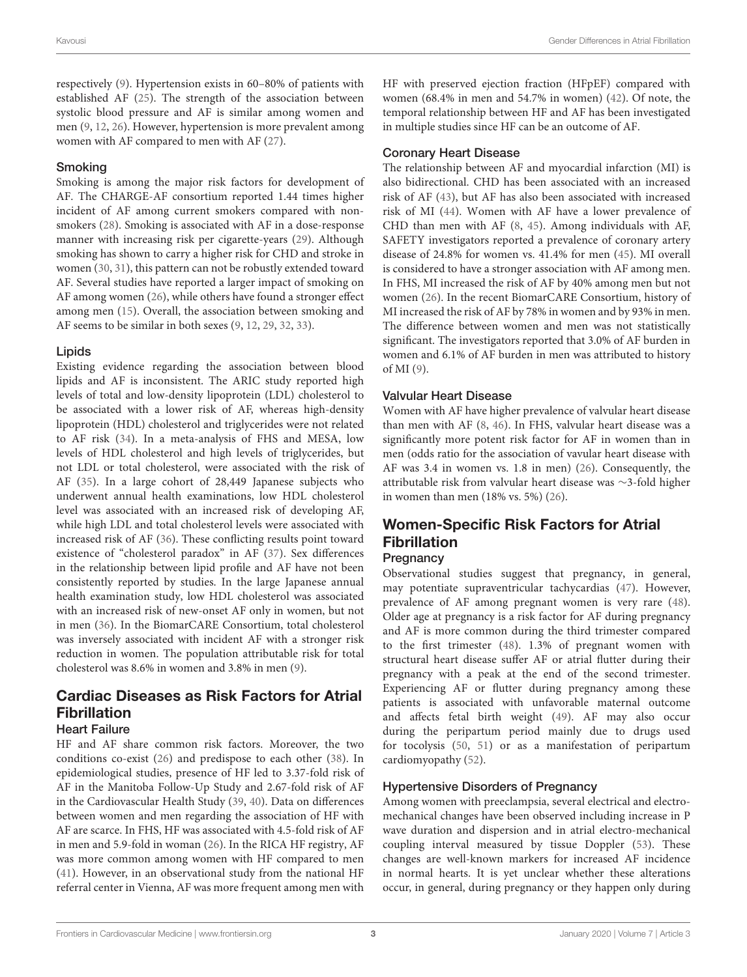respectively [\(9\)](#page-4-6). Hypertension exists in 60–80% of patients with established AF [\(25\)](#page-4-21). The strength of the association between systolic blood pressure and AF is similar among women and men [\(9,](#page-4-6) [12,](#page-4-9) [26\)](#page-5-0). However, hypertension is more prevalent among women with AF compared to men with AF [\(27\)](#page-5-1).

#### Smoking

Smoking is among the major risk factors for development of AF. The CHARGE-AF consortium reported 1.44 times higher incident of AF among current smokers compared with nonsmokers [\(28\)](#page-5-2). Smoking is associated with AF in a dose-response manner with increasing risk per cigarette-years [\(29\)](#page-5-3). Although smoking has shown to carry a higher risk for CHD and stroke in women [\(30,](#page-5-4) [31\)](#page-5-5), this pattern can not be robustly extended toward AF. Several studies have reported a larger impact of smoking on AF among women [\(26\)](#page-5-0), while others have found a stronger effect among men [\(15\)](#page-4-12). Overall, the association between smoking and AF seems to be similar in both sexes [\(9,](#page-4-6) [12,](#page-4-9) [29,](#page-5-3) [32,](#page-5-6) [33\)](#page-5-7).

#### Lipids

Existing evidence regarding the association between blood lipids and AF is inconsistent. The ARIC study reported high levels of total and low-density lipoprotein (LDL) cholesterol to be associated with a lower risk of AF, whereas high-density lipoprotein (HDL) cholesterol and triglycerides were not related to AF risk [\(34\)](#page-5-8). In a meta-analysis of FHS and MESA, low levels of HDL cholesterol and high levels of triglycerides, but not LDL or total cholesterol, were associated with the risk of AF [\(35\)](#page-5-9). In a large cohort of 28,449 Japanese subjects who underwent annual health examinations, low HDL cholesterol level was associated with an increased risk of developing AF, while high LDL and total cholesterol levels were associated with increased risk of AF [\(36\)](#page-5-10). These conflicting results point toward existence of "cholesterol paradox" in AF [\(37\)](#page-5-11). Sex differences in the relationship between lipid profile and AF have not been consistently reported by studies. In the large Japanese annual health examination study, low HDL cholesterol was associated with an increased risk of new-onset AF only in women, but not in men [\(36\)](#page-5-10). In the BiomarCARE Consortium, total cholesterol was inversely associated with incident AF with a stronger risk reduction in women. The population attributable risk for total cholesterol was 8.6% in women and 3.8% in men [\(9\)](#page-4-6).

# Cardiac Diseases as Risk Factors for Atrial Fibrillation

#### Heart Failure

HF and AF share common risk factors. Moreover, the two conditions co-exist [\(26\)](#page-5-0) and predispose to each other [\(38\)](#page-5-12). In epidemiological studies, presence of HF led to 3.37-fold risk of AF in the Manitoba Follow-Up Study and 2.67-fold risk of AF in the Cardiovascular Health Study [\(39,](#page-5-13) [40\)](#page-5-14). Data on differences between women and men regarding the association of HF with AF are scarce. In FHS, HF was associated with 4.5-fold risk of AF in men and 5.9-fold in woman [\(26\)](#page-5-0). In the RICA HF registry, AF was more common among women with HF compared to men [\(41\)](#page-5-15). However, in an observational study from the national HF referral center in Vienna, AF was more frequent among men with

HF with preserved ejection fraction (HFpEF) compared with women (68.4% in men and 54.7% in women) [\(42\)](#page-5-16). Of note, the temporal relationship between HF and AF has been investigated in multiple studies since HF can be an outcome of AF.

#### Coronary Heart Disease

The relationship between AF and myocardial infarction (MI) is also bidirectional. CHD has been associated with an increased risk of AF [\(43\)](#page-5-17), but AF has also been associated with increased risk of MI [\(44\)](#page-5-18). Women with AF have a lower prevalence of CHD than men with AF [\(8,](#page-4-5) [45\)](#page-5-19). Among individuals with AF, SAFETY investigators reported a prevalence of coronary artery disease of 24.8% for women vs. 41.4% for men [\(45\)](#page-5-19). MI overall is considered to have a stronger association with AF among men. In FHS, MI increased the risk of AF by 40% among men but not women [\(26\)](#page-5-0). In the recent BiomarCARE Consortium, history of MI increased the risk of AF by 78% in women and by 93% in men. The difference between women and men was not statistically significant. The investigators reported that 3.0% of AF burden in women and 6.1% of AF burden in men was attributed to history of MI [\(9\)](#page-4-6).

#### Valvular Heart Disease

Women with AF have higher prevalence of valvular heart disease than men with AF [\(8,](#page-4-5) [46\)](#page-5-20). In FHS, valvular heart disease was a significantly more potent risk factor for AF in women than in men (odds ratio for the association of vavular heart disease with AF was 3.4 in women vs. 1.8 in men) [\(26\)](#page-5-0). Consequently, the attributable risk from valvular heart disease was ∼3-fold higher in women than men (18% vs. 5%) [\(26\)](#page-5-0).

# Women-Specific Risk Factors for Atrial Fibrillation

### **Pregnancy**

Observational studies suggest that pregnancy, in general, may potentiate supraventricular tachycardias [\(47\)](#page-5-21). However, prevalence of AF among pregnant women is very rare [\(48\)](#page-5-22). Older age at pregnancy is a risk factor for AF during pregnancy and AF is more common during the third trimester compared to the first trimester [\(48\)](#page-5-22). 1.3% of pregnant women with structural heart disease suffer AF or atrial flutter during their pregnancy with a peak at the end of the second trimester. Experiencing AF or flutter during pregnancy among these patients is associated with unfavorable maternal outcome and affects fetal birth weight [\(49\)](#page-5-23). AF may also occur during the peripartum period mainly due to drugs used for tocolysis [\(50,](#page-5-24) [51\)](#page-5-25) or as a manifestation of peripartum cardiomyopathy [\(52\)](#page-5-26).

#### Hypertensive Disorders of Pregnancy

Among women with preeclampsia, several electrical and electromechanical changes have been observed including increase in P wave duration and dispersion and in atrial electro-mechanical coupling interval measured by tissue Doppler [\(53\)](#page-5-27). These changes are well-known markers for increased AF incidence in normal hearts. It is yet unclear whether these alterations occur, in general, during pregnancy or they happen only during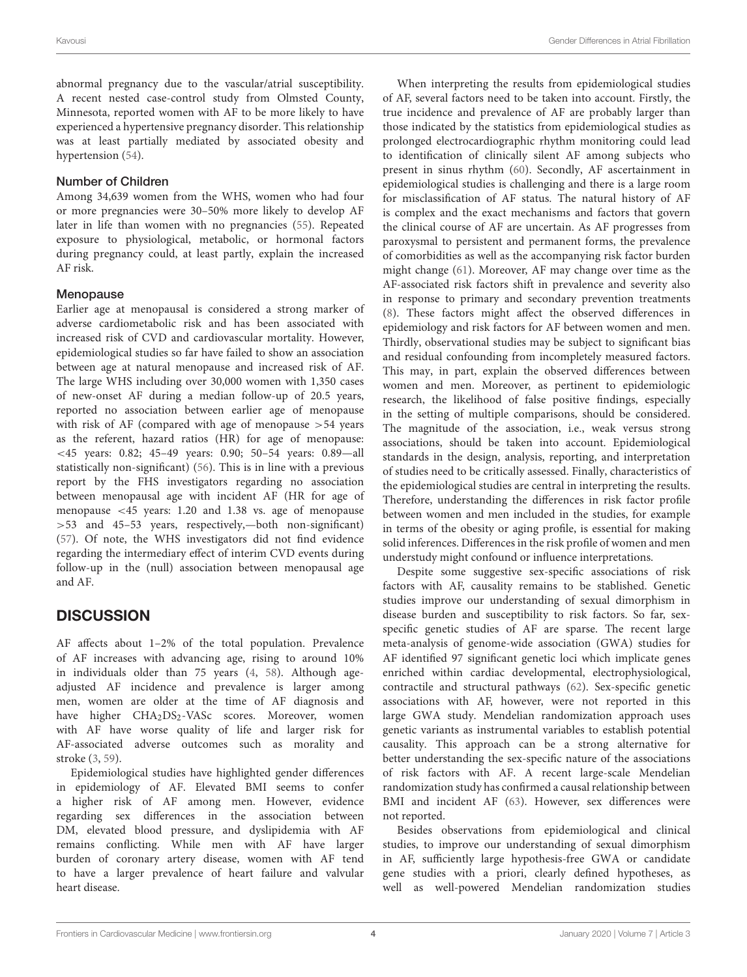abnormal pregnancy due to the vascular/atrial susceptibility. A recent nested case-control study from Olmsted County, Minnesota, reported women with AF to be more likely to have experienced a hypertensive pregnancy disorder. This relationship was at least partially mediated by associated obesity and hypertension [\(54\)](#page-5-28).

#### Number of Children

Among 34,639 women from the WHS, women who had four or more pregnancies were 30–50% more likely to develop AF later in life than women with no pregnancies [\(55\)](#page-5-29). Repeated exposure to physiological, metabolic, or hormonal factors during pregnancy could, at least partly, explain the increased AF risk.

#### Menopause

Earlier age at menopausal is considered a strong marker of adverse cardiometabolic risk and has been associated with increased risk of CVD and cardiovascular mortality. However, epidemiological studies so far have failed to show an association between age at natural menopause and increased risk of AF. The large WHS including over 30,000 women with 1,350 cases of new-onset AF during a median follow-up of 20.5 years, reported no association between earlier age of menopause with risk of AF (compared with age of menopause >54 years as the referent, hazard ratios (HR) for age of menopause: <45 years: 0.82; 45–49 years: 0.90; 50–54 years: 0.89—all statistically non-significant) [\(56\)](#page-5-30). This is in line with a previous report by the FHS investigators regarding no association between menopausal age with incident AF (HR for age of menopause <45 years: 1.20 and 1.38 vs. age of menopause >53 and 45–53 years, respectively,—both non-significant) [\(57\)](#page-5-31). Of note, the WHS investigators did not find evidence regarding the intermediary effect of interim CVD events during follow-up in the (null) association between menopausal age and AF.

# **DISCUSSION**

AF affects about 1–2% of the total population. Prevalence of AF increases with advancing age, rising to around 10% in individuals older than 75 years [\(4,](#page-4-2) [58\)](#page-5-32). Although ageadjusted AF incidence and prevalence is larger among men, women are older at the time of AF diagnosis and have higher CHA<sub>2</sub>DS<sub>2</sub>-VASc scores. Moreover, women with AF have worse quality of life and larger risk for AF-associated adverse outcomes such as morality and stroke [\(3,](#page-4-1) [59\)](#page-5-33).

Epidemiological studies have highlighted gender differences in epidemiology of AF. Elevated BMI seems to confer a higher risk of AF among men. However, evidence regarding sex differences in the association between DM, elevated blood pressure, and dyslipidemia with AF remains conflicting. While men with AF have larger burden of coronary artery disease, women with AF tend to have a larger prevalence of heart failure and valvular heart disease.

When interpreting the results from epidemiological studies of AF, several factors need to be taken into account. Firstly, the true incidence and prevalence of AF are probably larger than those indicated by the statistics from epidemiological studies as prolonged electrocardiographic rhythm monitoring could lead to identification of clinically silent AF among subjects who present in sinus rhythm [\(60\)](#page-5-34). Secondly, AF ascertainment in epidemiological studies is challenging and there is a large room for misclassification of AF status. The natural history of AF is complex and the exact mechanisms and factors that govern the clinical course of AF are uncertain. As AF progresses from paroxysmal to persistent and permanent forms, the prevalence of comorbidities as well as the accompanying risk factor burden might change [\(61\)](#page-5-35). Moreover, AF may change over time as the AF-associated risk factors shift in prevalence and severity also in response to primary and secondary prevention treatments [\(8\)](#page-4-5). These factors might affect the observed differences in epidemiology and risk factors for AF between women and men. Thirdly, observational studies may be subject to significant bias and residual confounding from incompletely measured factors. This may, in part, explain the observed differences between women and men. Moreover, as pertinent to epidemiologic research, the likelihood of false positive findings, especially in the setting of multiple comparisons, should be considered. The magnitude of the association, i.e., weak versus strong associations, should be taken into account. Epidemiological standards in the design, analysis, reporting, and interpretation of studies need to be critically assessed. Finally, characteristics of the epidemiological studies are central in interpreting the results. Therefore, understanding the differences in risk factor profile between women and men included in the studies, for example in terms of the obesity or aging profile, is essential for making solid inferences. Differences in the risk profile of women and men understudy might confound or influence interpretations.

Despite some suggestive sex-specific associations of risk factors with AF, causality remains to be stablished. Genetic studies improve our understanding of sexual dimorphism in disease burden and susceptibility to risk factors. So far, sexspecific genetic studies of AF are sparse. The recent large meta-analysis of genome-wide association (GWA) studies for AF identified 97 significant genetic loci which implicate genes enriched within cardiac developmental, electrophysiological, contractile and structural pathways [\(62\)](#page-6-0). Sex-specific genetic associations with AF, however, were not reported in this large GWA study. Mendelian randomization approach uses genetic variants as instrumental variables to establish potential causality. This approach can be a strong alternative for better understanding the sex-specific nature of the associations of risk factors with AF. A recent large-scale Mendelian randomization study has confirmed a causal relationship between BMI and incident AF [\(63\)](#page-6-1). However, sex differences were not reported.

Besides observations from epidemiological and clinical studies, to improve our understanding of sexual dimorphism in AF, sufficiently large hypothesis-free GWA or candidate gene studies with a priori, clearly defined hypotheses, as well as well-powered Mendelian randomization studies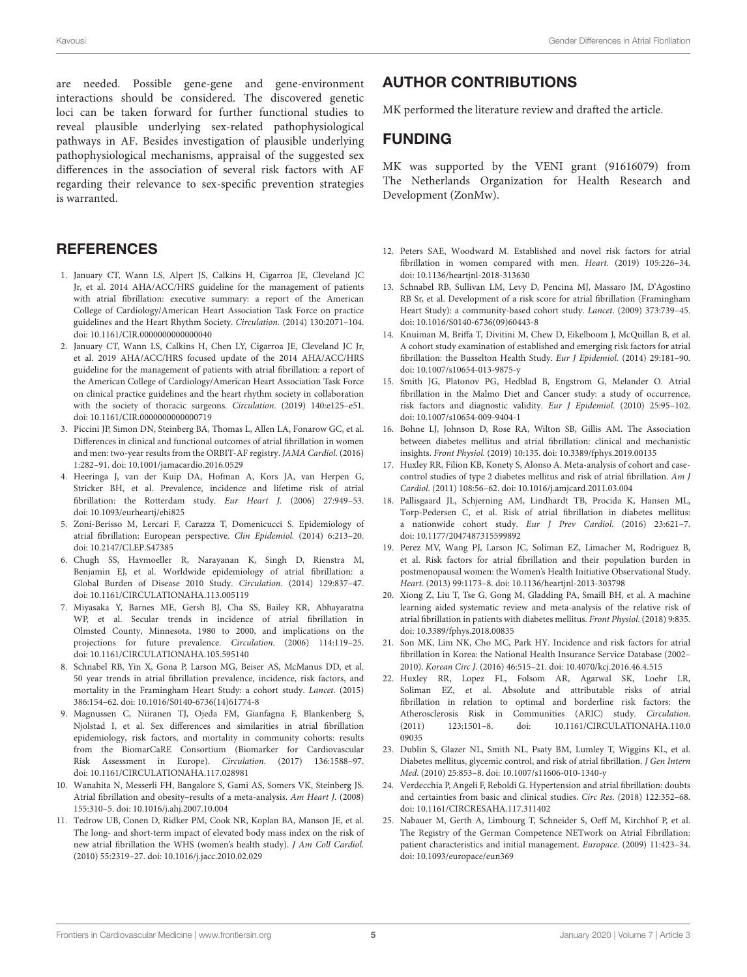are needed. Possible gene-gene and gene-environment interactions should be considered. The discovered genetic loci can be taken forward for further functional studies to reveal plausible underlying sex-related pathophysiological pathways in AF. Besides investigation of plausible underlying pathophysiological mechanisms, appraisal of the suggested sex differences in the association of several risk factors with AF regarding their relevance to sex-specific prevention strategies is warranted.

# **REFERENCES**

- <span id="page-4-0"></span>1. January CT, Wann LS, Alpert JS, Calkins H, Cigarroa JE, Cleveland JC Jr, et al. 2014 AHA/ACC/HRS guideline for the management of patients with atrial fibrillation: executive summary: a report of the American College of Cardiology/American Heart Association Task Force on practice guidelines and the Heart Rhythm Society. Circulation. (2014) 130:2071–104. doi: [10.1161/CIR.0000000000000040](https://doi.org/10.1161/CIR.0000000000000040)
- 2. January CT, Wann LS, Calkins H, Chen LY, Cigarroa JE, Cleveland JC Jr, et al. 2019 AHA/ACC/HRS focused update of the 2014 AHA/ACC/HRS guideline for the management of patients with atrial fibrillation: a report of the American College of Cardiology/American Heart Association Task Force on clinical practice guidelines and the heart rhythm society in collaboration with the society of thoracic surgeons. Circulation. (2019) 140:e125–e51. doi: [10.1161/CIR.0000000000000719](https://doi.org/10.1161/CIR.0000000000000719)
- <span id="page-4-1"></span>3. Piccini JP, Simon DN, Steinberg BA, Thomas L, Allen LA, Fonarow GC, et al. Differences in clinical and functional outcomes of atrial fibrillation in women and men: two-year results from the ORBIT-AF registry. JAMA Cardiol. (2016) 1:282–91. doi: [10.1001/jamacardio.2016.0529](https://doi.org/10.1001/jamacardio.2016.0529)
- <span id="page-4-2"></span>4. Heeringa J, van der Kuip DA, Hofman A, Kors JA, van Herpen G, Stricker BH, et al. Prevalence, incidence and lifetime risk of atrial fibrillation: the Rotterdam study. Eur Heart J. (2006) 27:949–53. doi: [10.1093/eurheartj/ehi825](https://doi.org/10.1093/eurheartj/ehi825)
- <span id="page-4-3"></span>5. Zoni-Berisso M, Lercari F, Carazza T, Domenicucci S. Epidemiology of atrial fibrillation: European perspective. Clin Epidemiol. (2014) 6:213–20. doi: [10.2147/CLEP.S47385](https://doi.org/10.2147/CLEP.S47385)
- <span id="page-4-4"></span>6. Chugh SS, Havmoeller R, Narayanan K, Singh D, Rienstra M, Benjamin EJ, et al. Worldwide epidemiology of atrial fibrillation: a Global Burden of Disease 2010 Study. Circulation. (2014) 129:837–47. doi: [10.1161/CIRCULATIONAHA.113.005119](https://doi.org/10.1161/CIRCULATIONAHA.113.005119)
- 7. Miyasaka Y, Barnes ME, Gersh BJ, Cha SS, Bailey KR, Abhayaratna WP, et al. Secular trends in incidence of atrial fibrillation in Olmsted County, Minnesota, 1980 to 2000, and implications on the projections for future prevalence. Circulation. (2006) 114:119–25. doi: [10.1161/CIRCULATIONAHA.105.595140](https://doi.org/10.1161/CIRCULATIONAHA.105.595140)
- <span id="page-4-5"></span>8. Schnabel RB, Yin X, Gona P, Larson MG, Beiser AS, McManus DD, et al. 50 year trends in atrial fibrillation prevalence, incidence, risk factors, and mortality in the Framingham Heart Study: a cohort study. Lancet. (2015) 386:154–62. doi: [10.1016/S0140-6736\(14\)61774-8](https://doi.org/10.1016/S0140-6736(14)61774-8)
- <span id="page-4-6"></span>9. Magnussen C, Niiranen TJ, Ojeda FM, Gianfagna F, Blankenberg S, Njolstad I, et al. Sex differences and similarities in atrial fibrillation epidemiology, risk factors, and mortality in community cohorts: results from the BiomarCaRE Consortium (Biomarker for Cardiovascular Risk Assessment in Europe). Circulation. (2017) 136:1588–97. doi: [10.1161/CIRCULATIONAHA.117.028981](https://doi.org/10.1161/CIRCULATIONAHA.117.028981)
- <span id="page-4-7"></span>10. Wanahita N, Messerli FH, Bangalore S, Gami AS, Somers VK, Steinberg JS. Atrial fibrillation and obesity–results of a meta-analysis. Am Heart J. (2008) 155:310–5. doi: [10.1016/j.ahj.2007.10.004](https://doi.org/10.1016/j.ahj.2007.10.004)
- <span id="page-4-8"></span>11. Tedrow UB, Conen D, Ridker PM, Cook NR, Koplan BA, Manson JE, et al. The long- and short-term impact of elevated body mass index on the risk of new atrial fibrillation the WHS (women's health study). J Am Coll Cardiol. (2010) 55:2319–27. doi: [10.1016/j.jacc.2010.02.029](https://doi.org/10.1016/j.jacc.2010.02.029)

# AUTHOR CONTRIBUTIONS

MK performed the literature review and drafted the article.

### FUNDING

MK was supported by the VENI grant (91616079) from The Netherlands Organization for Health Research and Development (ZonMw).

- <span id="page-4-9"></span>12. Peters SAE, Woodward M. Established and novel risk factors for atrial fibrillation in women compared with men. Heart. (2019) 105:226–34. doi: [10.1136/heartjnl-2018-313630](https://doi.org/10.1136/heartjnl-2018-313630)
- <span id="page-4-10"></span>13. Schnabel RB, Sullivan LM, Levy D, Pencina MJ, Massaro JM, D'Agostino RB Sr, et al. Development of a risk score for atrial fibrillation (Framingham Heart Study): a community-based cohort study. Lancet. (2009) 373:739–45. doi: [10.1016/S0140-6736\(09\)60443-8](https://doi.org/10.1016/S0140-6736(09)60443-8)
- <span id="page-4-11"></span>14. Knuiman M, Briffa T, Divitini M, Chew D, Eikelboom J, McQuillan B, et al. A cohort study examination of established and emerging risk factors for atrial fibrillation: the Busselton Health Study. Eur J Epidemiol. (2014) 29:181–90. doi: [10.1007/s10654-013-9875-y](https://doi.org/10.1007/s10654-013-9875-y)
- <span id="page-4-12"></span>15. Smith JG, Platonov PG, Hedblad B, Engstrom G, Melander O. Atrial fibrillation in the Malmo Diet and Cancer study: a study of occurrence, risk factors and diagnostic validity. Eur J Epidemiol. (2010) 25:95–102. doi: [10.1007/s10654-009-9404-1](https://doi.org/10.1007/s10654-009-9404-1)
- <span id="page-4-13"></span>16. Bohne LJ, Johnson D, Rose RA, Wilton SB, Gillis AM. The Association between diabetes mellitus and atrial fibrillation: clinical and mechanistic insights. Front Physiol. (2019) 10:135. doi: [10.3389/fphys.2019.00135](https://doi.org/10.3389/fphys.2019.00135)
- <span id="page-4-14"></span>17. Huxley RR, Filion KB, Konety S, Alonso A. Meta-analysis of cohort and casecontrol studies of type 2 diabetes mellitus and risk of atrial fibrillation. Am J Cardiol. (2011) 108:56–62. doi: [10.1016/j.amjcard.2011.03.004](https://doi.org/10.1016/j.amjcard.2011.03.004)
- <span id="page-4-18"></span>18. Pallisgaard JL, Schjerning AM, Lindhardt TB, Procida K, Hansen ML, Torp-Pedersen C, et al. Risk of atrial fibrillation in diabetes mellitus: a nationwide cohort study. Eur J Prev Cardiol. (2016) 23:621–7. doi: [10.1177/2047487315599892](https://doi.org/10.1177/2047487315599892)
- 19. Perez MV, Wang PJ, Larson JC, Soliman EZ, Limacher M, Rodriguez B, et al. Risk factors for atrial fibrillation and their population burden in postmenopausal women: the Women's Health Initiative Observational Study. Heart. (2013) 99:1173–8. doi: [10.1136/heartjnl-2013-303798](https://doi.org/10.1136/heartjnl-2013-303798)
- <span id="page-4-15"></span>20. Xiong Z, Liu T, Tse G, Gong M, Gladding PA, Smaill BH, et al. A machine learning aided systematic review and meta-analysis of the relative risk of atrial fibrillation in patients with diabetes mellitus. Front Physiol. (2018) 9:835. doi: [10.3389/fphys.2018.00835](https://doi.org/10.3389/fphys.2018.00835)
- <span id="page-4-16"></span>21. Son MK, Lim NK, Cho MC, Park HY. Incidence and risk factors for atrial fibrillation in Korea: the National Health Insurance Service Database (2002– 2010). Korean Circ J. (2016) 46:515–21. doi: [10.4070/kcj.2016.46.4.515](https://doi.org/10.4070/kcj.2016.46.4.515)
- <span id="page-4-17"></span>22. Huxley RR, Lopez FL, Folsom AR, Agarwal SK, Loehr LR, Soliman EZ, et al. Absolute and attributable risks of atrial fibrillation in relation to optimal and borderline risk factors: the Atherosclerosis Risk in Communities (ARIC) study. Circulation. [\(2011\) 123:1501–8. doi: 10.1161/CIRCULATIONAHA.110.0](https://doi.org/10.1161/CIRCULATIONAHA.110.009035) 09035
- <span id="page-4-19"></span>23. Dublin S, Glazer NL, Smith NL, Psaty BM, Lumley T, Wiggins KL, et al. Diabetes mellitus, glycemic control, and risk of atrial fibrillation. J Gen Intern Med. (2010) 25:853–8. doi: [10.1007/s11606-010-1340-y](https://doi.org/10.1007/s11606-010-1340-y)
- <span id="page-4-20"></span>24. Verdecchia P, Angeli F, Reboldi G. Hypertension and atrial fibrillation: doubts and certainties from basic and clinical studies. Circ Res. (2018) 122:352–68. doi: [10.1161/CIRCRESAHA.117.311402](https://doi.org/10.1161/CIRCRESAHA.117.311402)
- <span id="page-4-21"></span>25. Nabauer M, Gerth A, Limbourg T, Schneider S, Oeff M, Kirchhof P, et al. The Registry of the German Competence NETwork on Atrial Fibrillation: patient characteristics and initial management. Europace. (2009) 11:423–34. doi: [10.1093/europace/eun369](https://doi.org/10.1093/europace/eun369)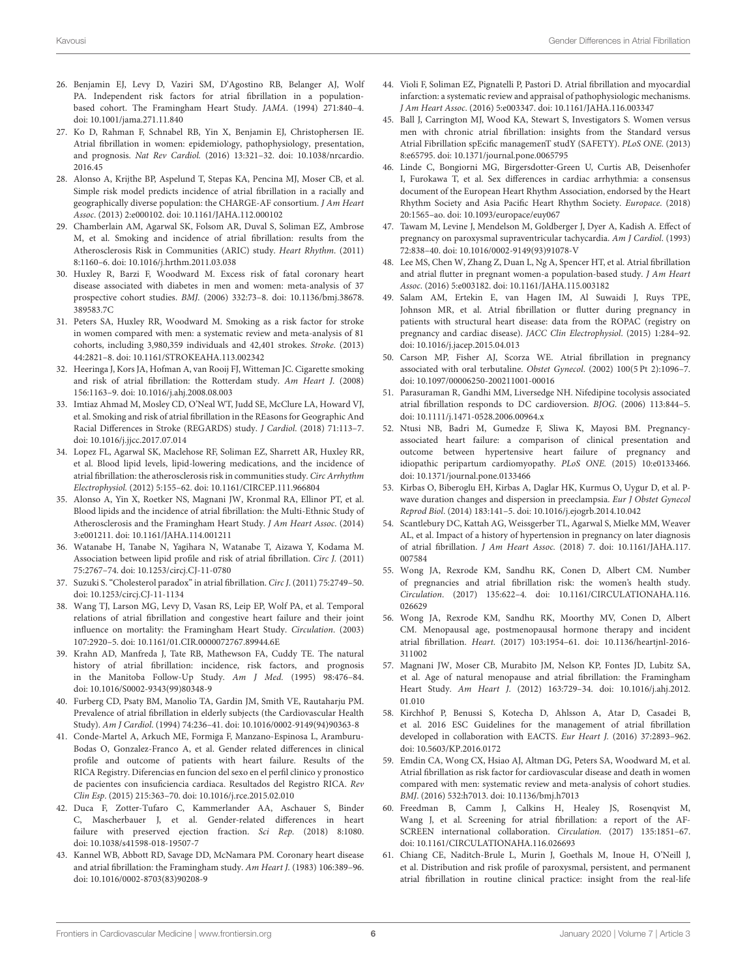- <span id="page-5-0"></span>26. Benjamin EJ, Levy D, Vaziri SM, D'Agostino RB, Belanger AJ, Wolf PA. Independent risk factors for atrial fibrillation in a populationbased cohort. The Framingham Heart Study. JAMA. (1994) 271:840–4. doi: [10.1001/jama.271.11.840](https://doi.org/10.1001/jama.271.11.840)
- <span id="page-5-1"></span>27. Ko D, Rahman F, Schnabel RB, Yin X, Benjamin EJ, Christophersen IE. Atrial fibrillation in women: epidemiology, pathophysiology, presentation, and prognosis. Nat Rev Cardiol. [\(2016\) 13:321–32. doi: 10.1038/nrcardio.](https://doi.org/10.1038/nrcardio.2016.45) 2016.45
- <span id="page-5-2"></span>28. Alonso A, Krijthe BP, Aspelund T, Stepas KA, Pencina MJ, Moser CB, et al. Simple risk model predicts incidence of atrial fibrillation in a racially and geographically diverse population: the CHARGE-AF consortium. J Am Heart Assoc. (2013) 2:e000102. doi: [10.1161/JAHA.112.000102](https://doi.org/10.1161/JAHA.112.000102)
- <span id="page-5-3"></span>29. Chamberlain AM, Agarwal SK, Folsom AR, Duval S, Soliman EZ, Ambrose M, et al. Smoking and incidence of atrial fibrillation: results from the Atherosclerosis Risk in Communities (ARIC) study. Heart Rhythm. (2011) 8:1160–6. doi: [10.1016/j.hrthm.2011.03.038](https://doi.org/10.1016/j.hrthm.2011.03.038)
- <span id="page-5-4"></span>30. Huxley R, Barzi F, Woodward M. Excess risk of fatal coronary heart disease associated with diabetes in men and women: meta-analysis of 37 prospective cohort studies. BMJ. [\(2006\) 332:73–8. doi: 10.1136/bmj.38678.](https://doi.org/10.1136/bmj.38678.389583.7C) 389583.7C
- <span id="page-5-5"></span>31. Peters SA, Huxley RR, Woodward M. Smoking as a risk factor for stroke in women compared with men: a systematic review and meta-analysis of 81 cohorts, including 3,980,359 individuals and 42,401 strokes. Stroke. (2013) 44:2821–8. doi: [10.1161/STROKEAHA.113.002342](https://doi.org/10.1161/STROKEAHA.113.002342)
- <span id="page-5-6"></span>32. Heeringa J, Kors JA, Hofman A, van Rooij FJ, Witteman JC. Cigarette smoking and risk of atrial fibrillation: the Rotterdam study. Am Heart J. (2008) 156:1163–9. doi: [10.1016/j.ahj.2008.08.003](https://doi.org/10.1016/j.ahj.2008.08.003)
- <span id="page-5-7"></span>33. Imtiaz Ahmad M, Mosley CD, O'Neal WT, Judd SE, McClure LA, Howard VJ, et al. Smoking and risk of atrial fibrillation in the REasons for Geographic And Racial Differences in Stroke (REGARDS) study. J Cardiol. (2018) 71:113–7. doi: [10.1016/j.jjcc.2017.07.014](https://doi.org/10.1016/j.jjcc.2017.07.014)
- <span id="page-5-8"></span>34. Lopez FL, Agarwal SK, Maclehose RF, Soliman EZ, Sharrett AR, Huxley RR, et al. Blood lipid levels, lipid-lowering medications, and the incidence of atrial fibrillation: the atherosclerosis risk in communities study. Circ Arrhythm Electrophysiol. (2012) 5:155–62. doi: [10.1161/CIRCEP.111.966804](https://doi.org/10.1161/CIRCEP.111.966804)
- <span id="page-5-9"></span>35. Alonso A, Yin X, Roetker NS, Magnani JW, Kronmal RA, Ellinor PT, et al. Blood lipids and the incidence of atrial fibrillation: the Multi-Ethnic Study of Atherosclerosis and the Framingham Heart Study. J Am Heart Assoc. (2014) 3:e001211. doi: [10.1161/JAHA.114.001211](https://doi.org/10.1161/JAHA.114.001211)
- <span id="page-5-10"></span>36. Watanabe H, Tanabe N, Yagihara N, Watanabe T, Aizawa Y, Kodama M. Association between lipid profile and risk of atrial fibrillation. Circ J. (2011) 75:2767–74. doi: [10.1253/circj.CJ-11-0780](https://doi.org/10.1253/circj.CJ-11-0780)
- <span id="page-5-11"></span>37. Suzuki S. "Cholesterol paradox" in atrial fibrillation. Circ J. (2011) 75:2749–50. doi: [10.1253/circj.CJ-11-1134](https://doi.org/10.1253/circj.CJ-11-1134)
- <span id="page-5-12"></span>38. Wang TJ, Larson MG, Levy D, Vasan RS, Leip EP, Wolf PA, et al. Temporal relations of atrial fibrillation and congestive heart failure and their joint influence on mortality: the Framingham Heart Study. Circulation. (2003) 107:2920–5. doi: [10.1161/01.CIR.0000072767.89944.6E](https://doi.org/10.1161/01.CIR.0000072767.89944.6E)
- <span id="page-5-13"></span>39. Krahn AD, Manfreda J, Tate RB, Mathewson FA, Cuddy TE. The natural history of atrial fibrillation: incidence, risk factors, and prognosis in the Manitoba Follow-Up Study. Am J Med. (1995) 98:476–84. doi: [10.1016/S0002-9343\(99\)80348-9](https://doi.org/10.1016/S0002-9343(99)80348-9)
- <span id="page-5-14"></span>40. Furberg CD, Psaty BM, Manolio TA, Gardin JM, Smith VE, Rautaharju PM. Prevalence of atrial fibrillation in elderly subjects (the Cardiovascular Health Study). Am J Cardiol. (1994) 74:236–41. doi: [10.1016/0002-9149\(94\)90363-8](https://doi.org/10.1016/0002-9149(94)90363-8)
- <span id="page-5-15"></span>41. Conde-Martel A, Arkuch ME, Formiga F, Manzano-Espinosa L, Aramburu-Bodas O, Gonzalez-Franco A, et al. Gender related differences in clinical profile and outcome of patients with heart failure. Results of the RICA Registry. Diferencias en funcion del sexo en el perfil clinico y pronostico de pacientes con insuficiencia cardiaca. Resultados del Registro RICA. Rev Clin Esp. (2015) 215:363–70. doi: [10.1016/j.rce.2015.02.010](https://doi.org/10.1016/j.rce.2015.02.010)
- <span id="page-5-16"></span>42. Duca F, Zotter-Tufaro C, Kammerlander AA, Aschauer S, Binder C, Mascherbauer J, et al. Gender-related differences in heart failure with preserved ejection fraction. Sci Rep. (2018) 8:1080. doi: [10.1038/s41598-018-19507-7](https://doi.org/10.1038/s41598-018-19507-7)
- <span id="page-5-17"></span>43. Kannel WB, Abbott RD, Savage DD, McNamara PM. Coronary heart disease and atrial fibrillation: the Framingham study. Am Heart J. (1983) 106:389–96. doi: [10.1016/0002-8703\(83\)90208-9](https://doi.org/10.1016/0002-8703(83)90208-9)
- <span id="page-5-18"></span>44. Violi F, Soliman EZ, Pignatelli P, Pastori D. Atrial fibrillation and myocardial infarction: a systematic review and appraisal of pathophysiologic mechanisms. J Am Heart Assoc. (2016) 5:e003347. doi: [10.1161/JAHA.116.003347](https://doi.org/10.1161/JAHA.116.003347)
- <span id="page-5-19"></span>45. Ball J, Carrington MJ, Wood KA, Stewart S, Investigators S. Women versus men with chronic atrial fibrillation: insights from the Standard versus Atrial Fibrillation spEcific managemenT studY (SAFETY). PLoS ONE. (2013) 8:e65795. doi: [10.1371/journal.pone.0065795](https://doi.org/10.1371/journal.pone.0065795)
- <span id="page-5-20"></span>46. Linde C, Bongiorni MG, Birgersdotter-Green U, Curtis AB, Deisenhofer I, Furokawa T, et al. Sex differences in cardiac arrhythmia: a consensus document of the European Heart Rhythm Association, endorsed by the Heart Rhythm Society and Asia Pacific Heart Rhythm Society. Europace. (2018) 20:1565–ao. doi: [10.1093/europace/euy067](https://doi.org/10.1093/europace/euy067)
- <span id="page-5-21"></span>47. Tawam M, Levine J, Mendelson M, Goldberger J, Dyer A, Kadish A. Effect of pregnancy on paroxysmal supraventricular tachycardia. Am J Cardiol. (1993) 72:838–40. doi: [10.1016/0002-9149\(93\)91078-V](https://doi.org/10.1016/0002-9149(93)91078-V)
- <span id="page-5-22"></span>48. Lee MS, Chen W, Zhang Z, Duan L, Ng A, Spencer HT, et al. Atrial fibrillation and atrial flutter in pregnant women-a population-based study. J Am Heart Assoc. (2016) 5:e003182. doi: [10.1161/JAHA.115.003182](https://doi.org/10.1161/JAHA.115.003182)
- <span id="page-5-23"></span>49. Salam AM, Ertekin E, van Hagen IM, Al Suwaidi J, Ruys TPE, Johnson MR, et al. Atrial fibrillation or flutter during pregnancy in patients with structural heart disease: data from the ROPAC (registry on pregnancy and cardiac disease). JACC Clin Electrophysiol. (2015) 1:284–92. doi: [10.1016/j.jacep.2015.04.013](https://doi.org/10.1016/j.jacep.2015.04.013)
- <span id="page-5-24"></span>50. Carson MP, Fisher AJ, Scorza WE. Atrial fibrillation in pregnancy associated with oral terbutaline. Obstet Gynecol. (2002) 100(5 Pt 2):1096–7. doi: [10.1097/00006250-200211001-00016](https://doi.org/10.1097/00006250-200211001-00016)
- <span id="page-5-25"></span>51. Parasuraman R, Gandhi MM, Liversedge NH. Nifedipine tocolysis associated atrial fibrillation responds to DC cardioversion. BJOG. (2006) 113:844–5. doi: [10.1111/j.1471-0528.2006.00964.x](https://doi.org/10.1111/j.1471-0528.2006.00964.x)
- <span id="page-5-26"></span>52. Ntusi NB, Badri M, Gumedze F, Sliwa K, Mayosi BM. Pregnancyassociated heart failure: a comparison of clinical presentation and outcome between hypertensive heart failure of pregnancy and idiopathic peripartum cardiomyopathy. PLoS ONE. (2015) 10:e0133466. doi: [10.1371/journal.pone.0133466](https://doi.org/10.1371/journal.pone.0133466)
- <span id="page-5-27"></span>53. Kirbas O, Biberoglu EH, Kirbas A, Daglar HK, Kurmus O, Uygur D, et al. Pwave duration changes and dispersion in preeclampsia. Eur J Obstet Gynecol Reprod Biol. (2014) 183:141–5. doi: [10.1016/j.ejogrb.2014.10.042](https://doi.org/10.1016/j.ejogrb.2014.10.042)
- <span id="page-5-28"></span>54. Scantlebury DC, Kattah AG, Weissgerber TL, Agarwal S, Mielke MM, Weaver AL, et al. Impact of a history of hypertension in pregnancy on later diagnosis of atrial fibrillation. J Am Heart Assoc. [\(2018\) 7. doi: 10.1161/JAHA.117.](https://doi.org/10.1161/JAHA.117.007584) 007584
- <span id="page-5-29"></span>55. Wong JA, Rexrode KM, Sandhu RK, Conen D, Albert CM. Number of pregnancies and atrial fibrillation risk: the women's health study. Circulation[. \(2017\) 135:622–4. doi: 10.1161/CIRCULATIONAHA.116.](https://doi.org/10.1161/CIRCULATIONAHA.116.026629) 026629
- <span id="page-5-30"></span>56. Wong JA, Rexrode KM, Sandhu RK, Moorthy MV, Conen D, Albert CM. Menopausal age, postmenopausal hormone therapy and incident atrial fibrillation. Heart[. \(2017\) 103:1954–61. doi: 10.1136/heartjnl-2016-](https://doi.org/10.1136/heartjnl-2016-311002) 311002
- <span id="page-5-31"></span>57. Magnani JW, Moser CB, Murabito JM, Nelson KP, Fontes JD, Lubitz SA, et al. Age of natural menopause and atrial fibrillation: the Framingham Heart Study. Am Heart J[. \(2012\) 163:729–34. doi: 10.1016/j.ahj.2012.](https://doi.org/10.1016/j.ahj.2012.01.010) 01.010
- <span id="page-5-32"></span>58. Kirchhof P, Benussi S, Kotecha D, Ahlsson A, Atar D, Casadei B, et al. 2016 ESC Guidelines for the management of atrial fibrillation developed in collaboration with EACTS. Eur Heart J. (2016) 37:2893–962. doi: [10.5603/KP.2016.0172](https://doi.org/10.5603/KP.2016.0172)
- <span id="page-5-33"></span>59. Emdin CA, Wong CX, Hsiao AJ, Altman DG, Peters SA, Woodward M, et al. Atrial fibrillation as risk factor for cardiovascular disease and death in women compared with men: systematic review and meta-analysis of cohort studies. BMJ. (2016) 532:h7013. doi: [10.1136/bmj.h7013](https://doi.org/10.1136/bmj.h7013)
- <span id="page-5-34"></span>60. Freedman B, Camm J, Calkins H, Healey JS, Rosenqvist M, Wang J, et al. Screening for atrial fibrillation: a report of the AF-SCREEN international collaboration. Circulation. (2017) 135:1851–67. doi: [10.1161/CIRCULATIONAHA.116.026693](https://doi.org/10.1161/CIRCULATIONAHA.116.026693)
- <span id="page-5-35"></span>61. Chiang CE, Naditch-Brule L, Murin J, Goethals M, Inoue H, O'Neill J, et al. Distribution and risk profile of paroxysmal, persistent, and permanent atrial fibrillation in routine clinical practice: insight from the real-life